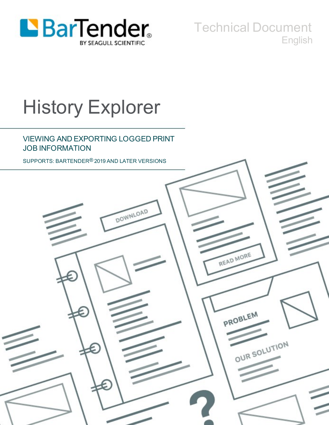

Technical Document English

# History Explorer

### VIEWING AND EXPORTING LOGGED PRINT JOB INFORMATION

SUPPORTS: BARTENDER® 2019 AND LATER VERSIONS

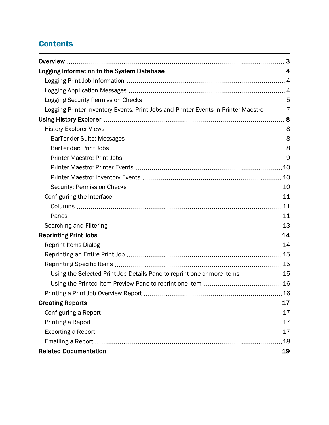# **Contents**

| Logging Printer Inventory Events, Print Jobs and Printer Events in Printer Maestro  7 |    |
|---------------------------------------------------------------------------------------|----|
|                                                                                       |    |
|                                                                                       |    |
|                                                                                       |    |
|                                                                                       |    |
|                                                                                       |    |
|                                                                                       |    |
|                                                                                       |    |
|                                                                                       |    |
|                                                                                       |    |
|                                                                                       |    |
|                                                                                       |    |
|                                                                                       |    |
|                                                                                       |    |
|                                                                                       |    |
|                                                                                       |    |
|                                                                                       |    |
| Using the Selected Print Job Details Pane to reprint one or more items 15             |    |
|                                                                                       |    |
|                                                                                       | 16 |
|                                                                                       | 17 |
|                                                                                       |    |
|                                                                                       |    |
|                                                                                       |    |
|                                                                                       |    |
|                                                                                       | 19 |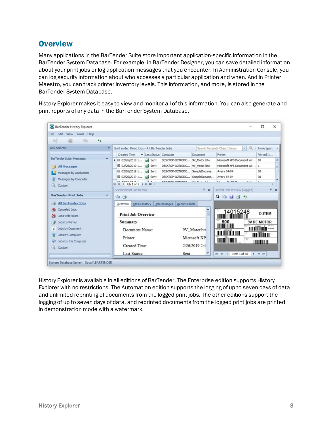## <span id="page-2-0"></span>**Overview**

Many applications in the BarTender Suite store important application-specific information in the BarTender System Database. For example, in BarTender Designer, you can save detailed information about your print jobs or log application messages that you encounter. In Administration Console, you can log security information about who accesses a particular application and when. And in Printer Maestro, you can track printer inventory levels. This information, and more, is stored in the BarTender System Database.

History Explorer makes it easy to view and monitor all of this information. You can also generate and print reports of any data in the BarTender System Database.

| <b>BarTender History Explorer</b>                    |                                                                                                                     |                                                                                                                                                                                                                                                                                                                                                                                                                                                                                                                                                                  | $\times$<br>п                         |
|------------------------------------------------------|---------------------------------------------------------------------------------------------------------------------|------------------------------------------------------------------------------------------------------------------------------------------------------------------------------------------------------------------------------------------------------------------------------------------------------------------------------------------------------------------------------------------------------------------------------------------------------------------------------------------------------------------------------------------------------------------|---------------------------------------|
| File Edit View Tools Help<br>m<br>dia<br>$+$         |                                                                                                                     |                                                                                                                                                                                                                                                                                                                                                                                                                                                                                                                                                                  |                                       |
| <b>View Selector</b>                                 | BarTender: Print Jobs - All BarTender Jobs                                                                          | Search Template Object Values<br>$\mathbf{r} \mid \mathbb{Q}$                                                                                                                                                                                                                                                                                                                                                                                                                                                                                                    | Time Span:                            |
|                                                      | <b>Created Time</b><br>- Last Status<br>Computer<br>Document                                                        | Printer                                                                                                                                                                                                                                                                                                                                                                                                                                                                                                                                                          | Printed It                            |
| BarTender Suite: Messages                            | $\hat{\phantom{a}}$<br>▶ 田 02/26/2019 1 4 Sent<br>DESKTOP-O2T80DC 9V_Motor.btw                                      | Microsoft XPS Document Wr 10                                                                                                                                                                                                                                                                                                                                                                                                                                                                                                                                     |                                       |
| <b>All Messages</b>                                  | 田 02/26/2019 1<br>sent<br>DESKTOP-O2T80DC 9V_Motor.btw                                                              | Microsoft XPS Document Wr 1                                                                                                                                                                                                                                                                                                                                                                                                                                                                                                                                      | 田                                     |
| Messages by Application                              | 田 02/26/2019 1<br>DESKTOP-OZT80DC SampleDocume<br>sent                                                              | Avery 64-04                                                                                                                                                                                                                                                                                                                                                                                                                                                                                                                                                      | 10                                    |
| Messages by Computer                                 | 田 02/26/2019 1<br>DESKTOP-O2T80DC SampleDocume<br><b>Sent</b>                                                       | Avery 64-04                                                                                                                                                                                                                                                                                                                                                                                                                                                                                                                                                      | 30<br>÷                               |
| Q Custom                                             | <b>PR. An Inc. Inc. Lo. L.</b><br>$-1 - 1$<br><b>BESURAS ASTASSA</b><br>ALL ARCHIVES<br>HI 44 4 Job 1 of 5 > H HI 4 | <b>Assan</b><br>1,000                                                                                                                                                                                                                                                                                                                                                                                                                                                                                                                                            |                                       |
| <b>BarTender: Print Jobs</b>                         | Selected Print Job Details<br># x<br>$\mathcal{A}_{\mathbf{r}}$<br>44                                               | Printed Item Preview (Logged)<br>$Q_1 \oplus \cdots \oplus \cdots \oplus \cdots \oplus \cdots \oplus \cdots \oplus \cdots \oplus \cdots \oplus \cdots \oplus \cdots \oplus \cdots \oplus \cdots \oplus \cdots \oplus \cdots \oplus \cdots \oplus \cdots \oplus \cdots \oplus \cdots \oplus \cdots \oplus \cdots \oplus \cdots \oplus \cdots \oplus \cdots \oplus \cdots \oplus \cdots \oplus \cdots \oplus \cdots \oplus \cdots \oplus \cdots \oplus \cdots \oplus \cdots \oplus \cdots \oplus \cdots \oplus \cdots \oplus \cdots \oplus \cdots \oplus \cdots \$ | $\sqrt{4}$ X                          |
| All BarTender Jobs                                   | Status History Job Messages Reprint Labels<br>Overview                                                              |                                                                                                                                                                                                                                                                                                                                                                                                                                                                                                                                                                  |                                       |
| Cancelled Jobs<br>Jobs with Errors<br>₩              | п<br><b>Print Job Overview</b>                                                                                      | 14015248                                                                                                                                                                                                                                                                                                                                                                                                                                                                                                                                                         | <b>D-ITEM</b>                         |
| Jobs by Printer                                      | Summary                                                                                                             | 900                                                                                                                                                                                                                                                                                                                                                                                                                                                                                                                                                              | <b>9V DC MOTOR</b>                    |
| Jobs by Document<br>c                                | Document Name:<br>9V_Motor.btv                                                                                      |                                                                                                                                                                                                                                                                                                                                                                                                                                                                                                                                                                  | <b>III</b> wasn                       |
| w<br>Jobs by Computer<br>Q3<br>Jobs by this Computer | Microsoft XP<br>Printer:                                                                                            | <b>THE REAL PROPERTY</b>                                                                                                                                                                                                                                                                                                                                                                                                                                                                                                                                         | <u>HIIIIIIII</u><br><u> HILLIAN I</u> |
| Q Custom                                             | 2/26/2019 2:4<br>Created Time:                                                                                      |                                                                                                                                                                                                                                                                                                                                                                                                                                                                                                                                                                  |                                       |
|                                                      | Last Status:<br>Sent                                                                                                | $101 - 41 - 4$<br>Item 1 of 10                                                                                                                                                                                                                                                                                                                                                                                                                                                                                                                                   | $+$ $+$ $+$                           |

History Explorer is available in all editions of BarTender. The Enterprise edition supports History Explorer with no restrictions. The Automation edition supports the logging of up to seven days of data and unlimited reprinting of documents from the logged print jobs. The other editions support the logging of up to seven days of data, and reprinted documents from the logged print jobs are printed in demonstration mode with a watermark.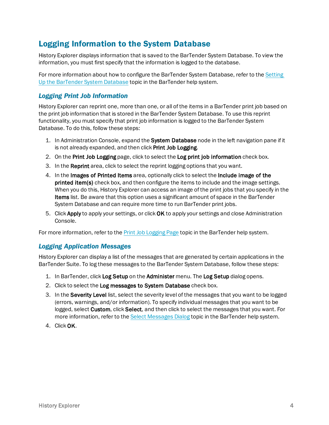## <span id="page-3-0"></span>Logging Information to the System Database

History Explorer displays information that is saved to the BarTender System Database. To view the information, you must first specify that the information is logged to the database.

For more information about how to configure the BarTender System Database, refer to the [Setting](http://help.seagullscientific.com/#../Subsystems/AdminConsole/Content/Sys_Database_SettingUp.html) Up the [BarTender](http://help.seagullscientific.com/#../Subsystems/AdminConsole/Content/Sys_Database_SettingUp.html) System Database topic in the BarTender help system.

#### <span id="page-3-1"></span>*Logging Print Job Information*

History Explorer can reprint one, more than one, or all of the items in a BarTender print job based on the print job information that is stored in the BarTender System Database. To use this reprint functionality, you must specify that print job information is logged to the BarTender System Database. To do this, follow these steps:

- 1. In Administration Console, expand the System Database node in the left navigation pane if it is not already expanded, and then click Print Job Logging.
- 2. On the Print Job Logging page, click to select the Log print job information check box.
- 3. In the Reprint area, click to select the reprint logging options that you want.
- 4. In the Images of Printed Items area, optionally click to select the Include image of the printed item(s) check box, and then configure the items to include and the image settings. When you do this, History Explorer can access an image of the print jobs that you specify in the Items list. Be aware that this option uses a significant amount of space in the BarTender System Database and can require more time to run BarTender print jobs.
- 5. Click Apply to apply your settings, or click OK to apply your settings and close Administration Console.

<span id="page-3-2"></span>For more information, refer to the Print Job [Logging](http://help.seagullscientific.com/#../Subsystems/AdminConsole/Content/Sys_Database_PrintJobLogging.html) Page topic in the BarTender help system.

#### *Logging Application Messages*

History Explorer can display a list of the messages that are generated by certain applications in the BarTender Suite. To log these messages to the BarTender System Database, follow these steps:

- 1. In BarTender, click Log Setup on the Administer menu. The Log Setup dialog opens.
- 2. Click to select the Log messages to System Database check box.
- 3. In the Severity Level list, select the severity level of the messages that you want to be logged (errors, warnings, and/or information). To specify individual messages that you want to be logged, select Custom, click Select, and then click to select the messages that you want. For more information, refer to the Select [Messages](http://help.seagullscientific.com/#HIDD_CUSTOMIZE_MESSAGES.htm) Dialog topic in the BarTender help system.
- 4. Click OK.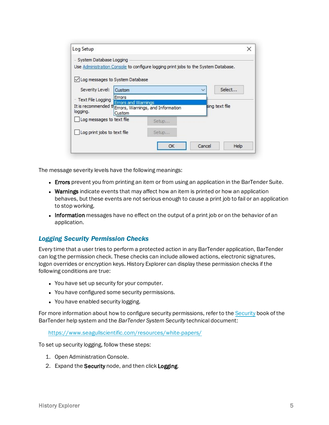| Log Setup                                                      |                                                                                    |              | $\times$       |
|----------------------------------------------------------------|------------------------------------------------------------------------------------|--------------|----------------|
| - System Database Logging<br>√ Log messages to System Database | Use Administration Console to configure logging print jobs to the System Database. |              |                |
| Severity Level:<br>Custom                                      |                                                                                    | $\checkmark$ | Select         |
| Errors<br>- Text File Logging                                  | <b>Errors and Warnings</b>                                                         |              |                |
| logging.<br>Custom                                             | It is recommended the Errors, Warnings, and Information                            |              | sing text file |
| Log messages to text file                                      | Setup                                                                              |              |                |
| Log print jobs to text file                                    | Setup                                                                              |              |                |
|                                                                | OK                                                                                 | Cancel       | Help           |

The message severity levels have the following meanings:

- Errors prevent you from printing an item or from using an application in the BarTender Suite.
- Warnings indicate events that may affect how an item is printed or how an application behaves, but these events are not serious enough to cause a print job to fail or an application to stop working.
- Information messages have no effect on the output of a print job or on the behavior of an application.

#### <span id="page-4-0"></span>*Logging Security Permission Checks*

Every time that a user tries to perform a protected action in any BarTender application, BarTender can log the permission check. These checks can include allowed actions, electronic signatures, logon overrides or encryption keys. History Explorer can display these permission checks if the following conditions are true:

- You have set up security for your computer.
- You have configured some security permissions.
- You have enabled security logging.

For more information about how to configure security permissions, refer to the [Security](http://help.seagullscientific.com/#../Subsystems/AdminConsole/Content/Security_LP.html) book of the BarTender help system and the *BarTender System Security* technical document:

[https://www.seagullscientific.com/resources/white-papers/](https://www.seagullscientific.com/support/white-papers)

To set up security logging, follow these steps:

- 1. Open Administration Console.
- 2. Expand the Security node, and then click Logging.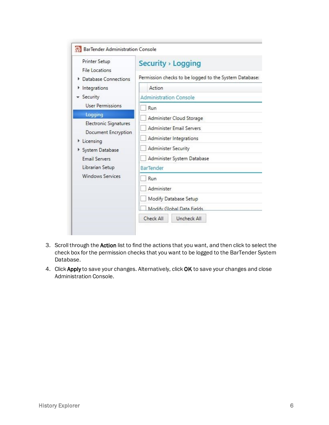| Printer Setup<br>File Locations  | Security > Logging                                     |  |  |  |  |  |
|----------------------------------|--------------------------------------------------------|--|--|--|--|--|
| Database Connections             | Permission checks to be logged to the System Database: |  |  |  |  |  |
| Integrations<br>۲                | Action                                                 |  |  |  |  |  |
| - Security                       | <b>Administration Console</b>                          |  |  |  |  |  |
| <b>User Permissions</b>          | Run                                                    |  |  |  |  |  |
| Logging                          | Administer Cloud Storage                               |  |  |  |  |  |
| Electronic Signatures            | Administer Email Servers                               |  |  |  |  |  |
| Document Encryption<br>Licensing | Administer Integrations                                |  |  |  |  |  |
| System Database                  | Administer Security                                    |  |  |  |  |  |
| <b>Email Servers</b>             | Administer System Database                             |  |  |  |  |  |
| Librarian Setup                  | BarTender                                              |  |  |  |  |  |
| <b>Windows Services</b>          | Run                                                    |  |  |  |  |  |
|                                  | Administer                                             |  |  |  |  |  |
|                                  | Modify Database Setup                                  |  |  |  |  |  |
|                                  | Modify Global Data Fields                              |  |  |  |  |  |
|                                  | Check All<br>Uncheck All                               |  |  |  |  |  |

- 3. Scroll through the Action list to find the actions that you want, and then click to select the check box for the permission checks that you want to be logged to the BarTender System Database.
- 4. Click Apply to save your changes. Alternatively, click OK to save your changes and close Administration Console.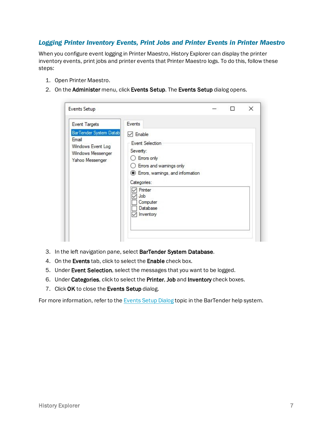#### <span id="page-6-0"></span>*Logging Printer Inventory Events, Print Jobs and Printer Events in Printer Maestro*

When you configure event logging in Printer Maestro, History Explorer can display the printer inventory events, print jobs and printer events that Printer Maestro logs. To do this, follow these steps:

- 1. Open Printer Maestro.
- 2. On the Administer menu, click Events Setup. The Events Setup dialog opens.

| <b>Events Setup</b>                                                                                                         |                                                                                                                                                                                                                                |  | × |
|-----------------------------------------------------------------------------------------------------------------------------|--------------------------------------------------------------------------------------------------------------------------------------------------------------------------------------------------------------------------------|--|---|
| <b>Event Targets</b><br><b>BarTender System Datab</b><br>Email<br>Windows Event Log<br>Windows Messenger<br>Yahoo Messenger | Events<br>Enable<br>$\checkmark$<br>Event Selection<br>Severity:<br>Errors only<br>Errors and warnings only<br><b>Errors</b> , warnings, and information<br>Categories:<br>Printer<br>Job<br>Computer<br>Database<br>Inventory |  |   |

- 3. In the left navigation pane, select BarTender System Database.
- 4. On the Events tab, click to select the Enable check box.
- 5. Under Event Selection, select the messages that you want to be logged.
- 6. Under Categories, click to select the Printer, Job and Inventory check boxes.
- 7. Click OK to close the Events Setup dialog.

For more information, refer to the [Events](http://help.seagullscientific.com/#../Subsystems/Maestro/Content/EventSetupDialog_LP.htm) Setup Dialog topic in the BarTender help system.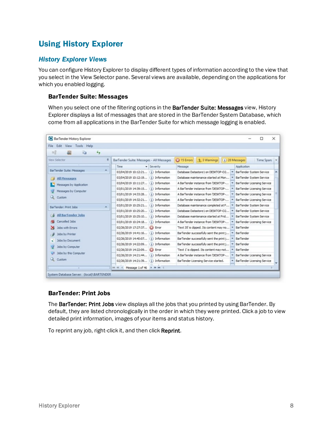# <span id="page-7-1"></span><span id="page-7-0"></span>Using History Explorer

#### *History Explorer Views*

You can configure History Explorer to display different types of information according to the view that you select in the View Selector pane. Several views are available, depending on the applications for which you enabled logging.

#### <span id="page-7-2"></span>BarTender Suite: Messages

When you select one of the filtering options in the BarTender Suite: Messages view, History Explorer displays a list of messages that are stored in the BarTender System Database, which come from all applications in the BarTender Suite for which message logging is enabled.

| BarTender History Explorer                         |                                                |                                         | □<br>$\times$                     |
|----------------------------------------------------|------------------------------------------------|-----------------------------------------|-----------------------------------|
| Edit View Tools Help<br>File                       |                                                |                                         |                                   |
| md<br>畾<br>Li a<br>$+$                             |                                                |                                         |                                   |
| View Selector<br>早                                 | BarTender Suite: Messages - All Messages       | 3 Varnings                              | (i) 28 Messages<br>Time Span:   w |
|                                                    | Time<br>Severity<br>۰                          | Message                                 | Application                       |
| <b>BarTender Suite: Messages</b><br>A              | 03/04/2019 10:12:21<br>(i) Information         | Database Datastore 1 on DESKTOP-O2      | BarTender System Service          |
| <b>All Messages</b>                                | 03/04/2019 10:12:19<br>(i) Information         | Database maintenance started at Mon     | BarTender System Service          |
| Messages by Application                            | 03/04/2019 10:11:27<br>(i) Information         | A BarTender instance from 'DESKTOP-     | BarTender Licensing Service       |
| Messages by Computer                               | 03/01/2019 14:39:15<br>(i) Information         | A BarTender instance from 'DESKTOP-     | BarTender Licensing Service       |
|                                                    | 03/01/2019 14:33:28<br>(i) Information         | A BarTender instance from 'DESKTOP-     | BarTender Licensing Service       |
| Q Custom                                           | 03/01/2019 14:32:21<br>(i) Information         | A BarTender instance from 'DESKTOP-     | BarTender Licensing Service       |
| BarTender: Print Jobs                              | 03/01/2019 10:25:21<br>(i) Information         | Database maintenance completed at F     | BarTender System Service          |
|                                                    | 03/01/2019 10:25:20<br>(i) Information         | Database Datastore 1 on DESKTOP-O2      | BarTender System Service          |
| <b>All BarTender Jobs</b>                          | 03/01/2019 10:25:10<br>(i) Information         | Database maintenance started at Frid    | BarTender System Service          |
| Cancelled Jobs                                     | 03/01/2019 10:24:18<br>(i) Information         | A BarTender instance from 'DESKTOP-     | BarTender Licensing Service       |
| Jobs with Errors<br>$\mathbf{\mathbf{\mathsf{x}}}$ | 02/26/2019 17:27:37<br><b>E</b> st Error       | Text 35' is clipped. Its content may no | BarTender                         |
| Jobs by Printer                                    | 02/26/2019 14:41:16<br>(i) Information         | BarTender successfully sent the print j | <b>BarTender</b>                  |
| Jobs by Document                                   | 02/26/2019 14:40:07<br>(i) Information         | BarTender successfully sent the print j | <b>BarTender</b>                  |
|                                                    | 02/26/2019 14:22:09<br>(i) Information         | BarTender successfully sent the print j | BarTender                         |
| Jobs by Computer                                   | 02/26/2019 14:22:09<br><b>E</b> rror           | Text 1' is clipped. Its content may not | <b>BarTender</b>                  |
| Jobs by this Computer                              | 02/26/2019 14:21:44<br>(i) Information         | A BarTender instance from 'DESKTOP-     | BarTender Licensing Service       |
| Q Custom                                           | 02/26/2019 14:21:39<br>(i) Information         | BarTender Licensing Service started.    | BarTender Licensing Service       |
|                                                    | <b>F HF HF 4</b><br>4 Message 1 of 46<br>$+44$ |                                         |                                   |
| System Database Server: (local)\BARTENDER          |                                                |                                         |                                   |

#### <span id="page-7-3"></span>BarTender: Print Jobs

The BarTender: Print Jobs view displays all the jobs that you printed by using BarTender. By default, they are listed chronologically in the order in which they were printed. Click a job to view detailed print information, images of your items and status history.

To reprint any job, right-click it, and then click Reprint.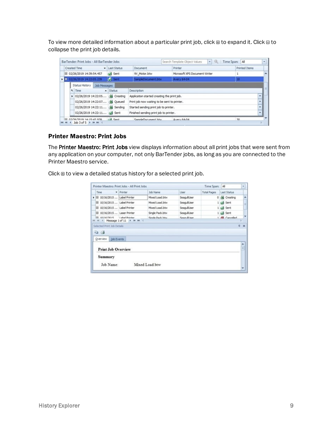To view more detailed information about a particular print job, click  $\Xi$  to expand it. Click  $\Xi$  to collapse the print job details.

|                                                                         |  |  | Created Time                                       |                                             | · Last Status | Document                                     |  | Printer                       |  | <b>Printed Items</b>     |
|-------------------------------------------------------------------------|--|--|----------------------------------------------------|---------------------------------------------|---------------|----------------------------------------------|--|-------------------------------|--|--------------------------|
|                                                                         |  |  | 田 02/26/2019 14:39:54.457                          |                                             | sent          | 9V Motor.btw                                 |  | Microsoft XPS Document Writer |  |                          |
|                                                                         |  |  | $\triangleright$ $\square$ 02/26/2019 14:22:05.239 |                                             | <b>Sent</b>   | SampleDocument.btw                           |  | <b>Avery 64-04</b>            |  | 10                       |
|                                                                         |  |  | Status History                                     | Job Messages                                |               |                                              |  |                               |  |                          |
| a Time<br>$\triangle$ Status<br>> 02/26/2019 14:22:05 (a) Creating      |  |  | Description                                        |                                             |               |                                              |  |                               |  |                          |
|                                                                         |  |  |                                                    | Application started creating the print job. |               |                                              |  |                               |  |                          |
|                                                                         |  |  | 02/26/2019 14:22:07 (A) Queued                     |                                             |               | Print job now waiting to be sent to printer. |  |                               |  | ÷                        |
| 02/26/2019 14:22:11 (A Sending<br>Started sending print job to printer. |  |  |                                                    | ٠                                           |               |                                              |  |                               |  |                          |
|                                                                         |  |  | 02/26/2019 14:22:11 44 Sent                        |                                             |               | Finished sending print job to printer.       |  |                               |  | $\overline{\phantom{0}}$ |

#### <span id="page-8-0"></span>Printer Maestro: Print Jobs

The Printer Maestro: Print Jobs view displays information about all print jobs that were sent from any application on your computer, not only BarTender jobs, as long as you are connected to the Printer Maestro service.

Click  $\mathbf{\Xi}$  to view a detailed status history for a selected print job.

|                                      | Printer Maestro: Print Jobs - All Print Jobs |                 |                       | Time Span: All     |                    | ٠          |
|--------------------------------------|----------------------------------------------|-----------------|-----------------------|--------------------|--------------------|------------|
| Time                                 | $\blacktriangleright$ Printer                | <b>Job Name</b> | <b>User</b>           | <b>Total Pages</b> | <b>Last Status</b> |            |
| ▶ 田 10/16/2015  Label Printer        |                                              | Mixed Load.btw  | SeaguilUser           |                    | 0 (kg Creating     |            |
| El 10/16/2015  Label Printer         |                                              | Mixed Load.btw  | SeagullUser           |                    | 1 Aud Sent         | ы          |
| El 10/16/2015  Label Printer         |                                              | Mixed Load.btw  | SeaguilUser           |                    | 1 and Sent         |            |
| El 10/16/2015  Laser Printer         |                                              | Single Pack.btw | SeaguilUser           |                    | 1 aud Sent         |            |
| 210531101                            | 1 ahal Drinter<br>4 Message 1 of 11 P H HH 4 | Single Dark hhw | <b>Sears ill lear</b> |                    | 1.6% Cancelled     |            |
| <b>Job Events</b><br>Overview        |                                              |                 |                       |                    |                    |            |
| <b>Print Job Overview</b><br>Summary |                                              |                 |                       |                    |                    | $\ddot{ }$ |
| Job Name:                            |                                              | Mixed Load btw  |                       |                    |                    |            |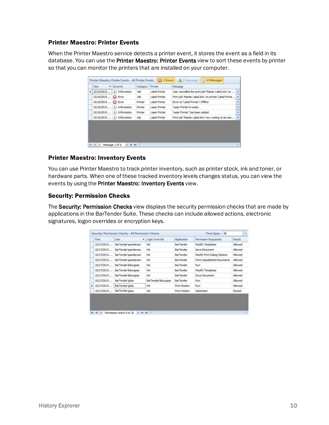#### <span id="page-9-0"></span>Printer Maestro: Printer Events

When the Printer Maestro service detects a printer event, it stores the event as a field in its database. You can use the Printer Maestro: Printer Events view to sort these events by printer so that you can monitor the printers that are installed on your computer.

| 10/16/2015<br>10/16/2015  @ Error | (i) Information | Job<br><b>Job</b>                                                                         | Label Printer<br>Label Printer | User cancelled the print job 'Master Label.btw' on    |
|-----------------------------------|-----------------|-------------------------------------------------------------------------------------------|--------------------------------|-------------------------------------------------------|
|                                   |                 |                                                                                           |                                |                                                       |
|                                   |                 |                                                                                           |                                | Print job 'Master Label.btw' on printer 'Label Printe |
| 10/16/2015  @ Error               |                 | Printer                                                                                   | Label Printer                  | Error on 'Label Printer': Offline                     |
|                                   |                 | Printer                                                                                   | Laser Printer                  | Laser Printer'is ready.                               |
|                                   |                 | Printer                                                                                   | Laser Printer                  | Laser Printer' has been added.                        |
|                                   |                 | <b>Job</b>                                                                                | Label Printer                  | Print job 'Master Label.btw' now waiting to be sen    |
|                                   |                 | 10/16/2015  (i) Information<br>10/16/2015  (i) Information<br>10/16/2015  (i) Information |                                |                                                       |

#### <span id="page-9-1"></span>Printer Maestro: Inventory Events

You can use Printer Maestro to track printer inventory, such as printer stock, ink and toner, or hardware parts. When one of these tracked inventory levels changes status, you can view the events by using the Printer Maestro: Inventory Events view.

#### <span id="page-9-2"></span>Security: Permission Checks

The Security: Permission Checks view displays the security permission checks that are made by applications in the BarTender Suite. These checks can include allowed actions, electronic signatures, logon overrides or encryption keys.

|              | Time       | Liser<br>$\bullet$  | Login Override      | Application      | Permission Requested        | Result  |
|--------------|------------|---------------------|---------------------|------------------|-----------------------------|---------|
|              | 10/17/2015 | BarTender\aanderson | NA                  | <b>BarTender</b> | Modify Templates            | Allowed |
|              | 10/17/2015 | BarTender\aanderson | NA                  | <b>BarTender</b> | Save Document               | Allowed |
|              | 10/17/2015 | BarTender\aanderson | NA                  | BarTender        | Modify Print Dialog Options | Allowed |
|              | 10/17/2015 | BarTender\aanderson | NA                  | <b>BarTender</b> | Print Unpublished Documents | Allowed |
|              | 10/17/2015 | BarTender Vrburgess | NA.                 | BarTender        | Run                         | Allowed |
|              | 10/17/2015 | BarTender Vrburgess | NA.                 | BarTender        | Modify Templates            | Allowed |
|              | 10/17/2015 | BarTender Vrburgess | NA.                 | BarTender        | Save Document               | Allowed |
|              | 10/17/2015 | BarTender \doe      | BarTender Viburgess | <b>BarTender</b> | Run                         | Allowed |
| $\mathbf{r}$ | 10/17/2015 | BarTender\jdoe      | NA                  | Print Station    | Run                         | Allowed |
|              | 10/17/2015 | BarTenderlidoe      | NA.                 | Print Station    | Administer                  | Denied  |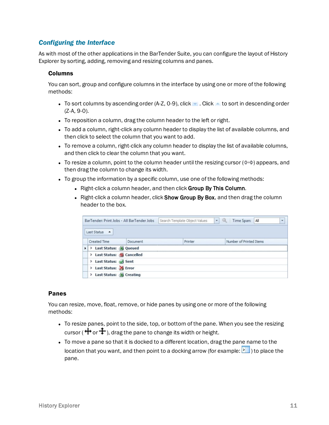#### <span id="page-10-0"></span>*Configuring the Interface*

As with most of the other applications in the BarTender Suite, you can configure the layout of History Explorer by sorting, adding, removing and resizing columns and panes.

#### <span id="page-10-1"></span>Columns

You can sort, group and configure columns in the interface by using one or more of the following methods:

- To sort columns by ascending order (A-Z, 0-9), click  $\bullet$  . Click  $\bullet$  to sort in descending order (Z-A, 9-0).
- To reposition a column, drag the column header to the left or right.
- To add a column, right-click any column header to display the list of available columns, and then click to select the column that you want to add.
- To remove a column, right-click any column header to display the list of available columns, and then click to clear the column that you want.
- To resize a column, point to the column header until the resizing cursor  $(\leftrightarrow)$  appears, and then drag the column to change its width.
- To group the information by a specific column, use one of the following methods:
	- Right-click a column header, and then click Group By This Column.
	- Right-click a column header, click Show Group By Box, and then drag the column header to the box.

|   | BarTender: Print Jobs - All BarTender Jobs                         | Search Template Object Values | ۰. | Time Span:              | All |  |
|---|--------------------------------------------------------------------|-------------------------------|----|-------------------------|-----|--|
|   | Last Status<br>$\blacktriangle$<br><b>Created Time</b><br>Document | Printer                       |    | Number of Printed Items |     |  |
| ٠ | > Last Status: (A) Queued                                          |                               |    |                         |     |  |
|   | > Last Status: (Cancelled                                          |                               |    |                         |     |  |
|   | > Last Status: Sent                                                |                               |    |                         |     |  |
|   | > Last Status: X Error                                             |                               |    |                         |     |  |
|   |                                                                    |                               |    |                         |     |  |

#### <span id="page-10-2"></span>Panes

You can resize, move, float, remove, or hide panes by using one or more of the following methods:

- To resize panes, point to the side, top, or bottom of the pane. When you see the resizing cursor ( $\bigoplus$  or  $\bigoplus$ ), drag the pane to change its width or height.
- To move a pane so that it is docked to a different location, drag the pane name to the location that you want, and then point to a docking arrow (for example:  $\blacktriangleright$ ) to place the pane.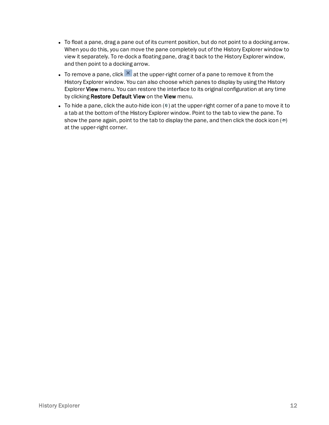- To float a pane, drag a pane out of its current position, but do not point to a docking arrow. When you do this, you can move the pane completely out of the History Explorer window to view it separately. To re-dock a floating pane, drag it back to the History Explorer window, and then point to a docking arrow.
- To remove a pane, click  $\mathbf{x}$  at the upper-right corner of a pane to remove it from the History Explorer window. You can also choose which panes to display by using the History Explorer View menu. You can restore the interface to its original configuration at any time by clicking Restore Default View on the View menu.
- If To hide a pane, click the auto-hide icon  $($   $\uparrow$   $)$  at the upper-right corner of a pane to move it to a tab at the bottom of the History Explorer window. Point to the tab to view the pane. To show the pane again, point to the tab to display the pane, and then click the dock icon  $(+)$ at the upper-right corner.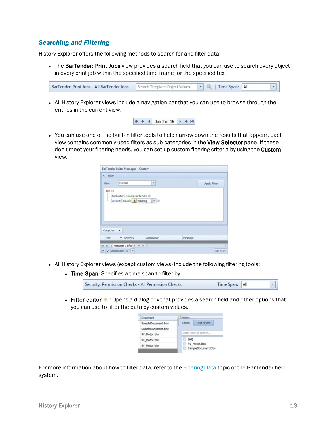#### <span id="page-12-0"></span>*Searching and Filtering*

History Explorer offers the following methods to search for and filter data:

• The BarTender: Print Jobs view provides a search field that you can use to search every object in every print job within the specified time frame for the specified text.

|  | BarTender: Print Jobs - All BarTender Jobs Search 7 |  |  |  |  | All |  |  |
|--|-----------------------------------------------------|--|--|--|--|-----|--|--|
|--|-----------------------------------------------------|--|--|--|--|-----|--|--|

• All History Explorer views include a navigation bar that you can use to browse through the entries in the current view.



• You can use one of the built-in filter tools to help narrow down the results that appear. Each view contains commonly used filters as sub-categories in the View Selector pane. If these don't meet your filtering needs, you can set up custom filtering criteria by using the Custom view.

| $A$ Filter |                                                               |   |              |
|------------|---------------------------------------------------------------|---|--------------|
| View:      | Custom                                                        | ۳ | Apply Filter |
| And O      | -[Application] Equals BarTender @                             |   |              |
| Computer   | - [Severity] Equals 1 Warning - 0<br>$\overline{\phantom{a}}$ |   |              |

- All History Explorer views (except custom views) include the following filtering tools:
	- Time Span: Specifies a time span to filter by.

| Security: Permission Checks - All Permission Checks | Time Span: All |  |
|-----------------------------------------------------|----------------|--|

**Filter editor**  $\cdot$  : Opens a dialog box that provides a search field and other options that you can use to filter the data by custom values.



For more information about how to filter data, refer to the [Filtering](http://help.seagullscientific.com/#../Subsystems/HistoryExplorer/Content/Filter_Overview_HE.htm) Data topic of the BarTender help system.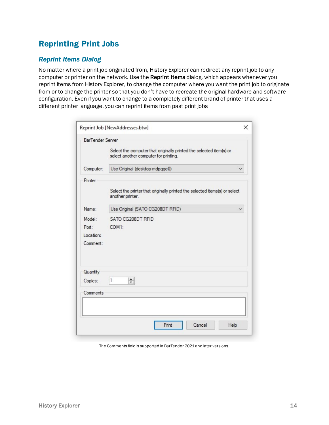# <span id="page-13-1"></span><span id="page-13-0"></span>Reprinting Print Jobs

#### *Reprint Items Dialog*

No matter where a print job originated from, History Explorer can redirect any reprint job to any computer or printer on the network. Use the Reprint Items dialog, which appears whenever you reprint items from History Explorer, to change the computer where you want the print job to originate from or to change the printer so that you don't have to recreate the original hardware and software configuration. Even if you want to change to a completely different brand of printer that uses a different printer language, you can reprint items from past print jobs

|                         | Reprint Job [NewAddresses.btw]                                                                               | $\times$ |
|-------------------------|--------------------------------------------------------------------------------------------------------------|----------|
| <b>BarTender Server</b> |                                                                                                              |          |
|                         | Select the computer that originally printed the selected item(s) or<br>select another computer for printing. |          |
| Computer:               | Use Original (desktop-mdpqqe0)                                                                               |          |
| Printer                 |                                                                                                              |          |
|                         | Select the printer that originally printed the selected items(s) or select<br>another printer.               |          |
| Name:                   | Use Original (SATO CG208DT RFID)                                                                             |          |
| Model:                  | SATO CG208DT RFID                                                                                            |          |
| Port:                   | COM1:                                                                                                        |          |
| Location:               |                                                                                                              |          |
| Comment:                |                                                                                                              |          |
|                         |                                                                                                              |          |
| Quantity                | 1                                                                                                            |          |
| Copies:                 | $\div$                                                                                                       |          |
| Comments                |                                                                                                              |          |
|                         |                                                                                                              |          |
|                         |                                                                                                              |          |
|                         | Cancel<br>Print<br>Help                                                                                      |          |

The Comments field is supported in BarTender 2021 and later versions.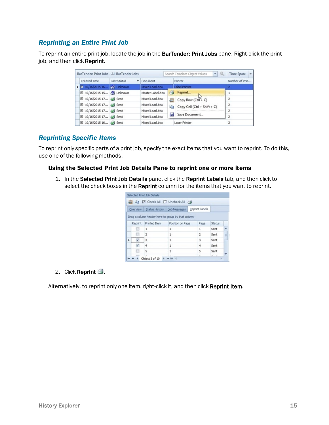#### <span id="page-14-0"></span>*Reprinting an Entire Print Job*

To reprint an entire print job, locate the job in the BarTender: Print Jobs pane. Right-click the print job, and then click Reprint.

| BarTender: Print Jobs - All BarTender Jobs                              |             |                  |     | $\star$<br>Search Template Object Values | Time Span: <b>v</b> |
|-------------------------------------------------------------------------|-------------|------------------|-----|------------------------------------------|---------------------|
| Created Time                                                            | Last Status | Document         |     | Printer                                  | Number of Prin      |
| $\blacktriangleright$ $\blacksquare$ 10/16/2015 16 $2^{\prime}$ Unknown |             | Mixed Load.btw   |     | Label Printer                            |                     |
| 田 10/16/2015 15 49 Unknown                                              |             | Master Label.btw |     | Reprint                                  |                     |
| El 10/16/2015 17 <a> Sent</a>                                           |             | Mixed Load.btw   | 扁   | Copy Row (Ctrl + C)                      |                     |
| El 10/16/2015 17 A Sent                                                 |             | Mixed Load.btw   | a a | Copy Cell (Ctrl + Shift + C)             |                     |
| El 10/16/2015 17 A Sent                                                 |             | Mixed Load.btw   |     |                                          | 2                   |
| El 10/16/2015 17 4 Sent                                                 |             | Mixed Load.btw   |     | Save Document                            |                     |
| El 10/16/2015 16 4 Sent                                                 |             | Mixed Load.btw   |     | Laser Printer                            |                     |
|                                                                         |             |                  |     |                                          |                     |

#### <span id="page-14-1"></span>*Reprinting Specific Items*

To reprint only specific parts of a print job, specify the exact items that you want to reprint. To do this, use one of the following methods.

#### <span id="page-14-2"></span>Using the Selected Print Job Details Pane to reprint one or more items

1. In the Selected Print Job Details pane, click the Reprint Labels tab, and then click to select the check boxes in the Reprint column for the items that you want to reprint.

|          | S Check All I Uncheck All                         |                               |                |        |   |
|----------|---------------------------------------------------|-------------------------------|----------------|--------|---|
| Overview |                                                   | Status History   Job Messages | Reprint Labels |        |   |
|          | Drag a column header here to group by that column |                               |                |        |   |
| Reprint  | <b>Printed Item</b>                               | Position on Page              | Page           | Status |   |
|          | 1                                                 | 1                             | 1              | Sent   |   |
|          | $\overline{2}$                                    | 1                             | $\overline{2}$ | Sent   | п |
|          | 3                                                 | 1                             | 3              | Sent   |   |
|          |                                                   |                               | 4              | Sent   |   |
|          | 4                                                 | 1                             |                |        |   |
|          | 5                                                 | 1                             | 5              | Sent   |   |

2. Click Reprint  $\triangleq$ .

Alternatively, to reprint only one item, right-click it, and then click Reprint Item.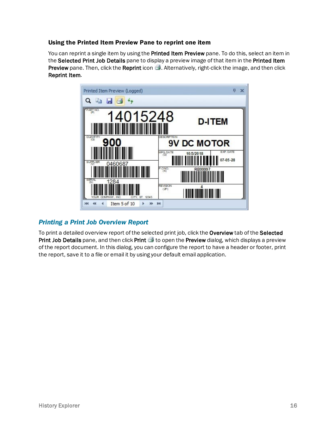#### <span id="page-15-0"></span>Using the Printed Item Preview Pane to reprint one item

You can reprint a single item by using the Printed Item Preview pane. To do this, select an item in the Selected Print Job Details pane to display a preview image of that item in the Printed Item **Preview** pane. Then, click the **Reprint** icon  $\triangleq$ . Alternatively, right-click the image, and then click Reprint Item.



#### <span id="page-15-1"></span>*Printing a Print Job Overview Report*

To print a detailed overview report of the selected print job, click the Overview tab of the Selected Print Job Details pane, and then click Print  $\triangleq$  to open the Preview dialog, which displays a preview of the report document. In this dialog, you can configure the report to have a header or footer, print the report, save it to a file or email it by using your default email application.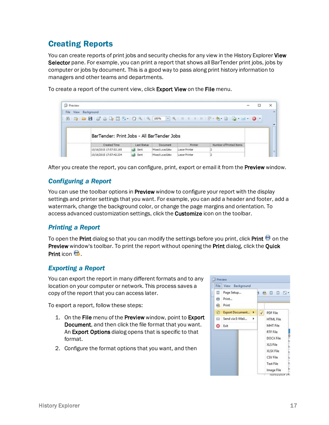## <span id="page-16-0"></span>Creating Reports

You can create reports of print jobs and security checks for any view in the History Explorer View Selector pane. For example, you can print a report that shows all BarTender print jobs, jobs by computer or jobs by document. This is a good way to pass along print history information to managers and other teams and departments.

To create a report of the current view, click **Export View** on the File menu.

| <b>Preview</b>       |  |                         |  |             |                                            |               |         |                         | $-$ | × |
|----------------------|--|-------------------------|--|-------------|--------------------------------------------|---------------|---------|-------------------------|-----|---|
| File View Background |  |                         |  |             |                                            |               |         |                         |     |   |
|                      |  |                         |  |             |                                            |               |         |                         |     |   |
|                      |  |                         |  |             |                                            |               |         |                         |     |   |
|                      |  |                         |  |             |                                            |               |         |                         |     |   |
|                      |  |                         |  |             |                                            |               |         |                         |     |   |
|                      |  |                         |  |             | BarTender: Print Jobs - All BarTender Jobs |               |         |                         |     |   |
|                      |  |                         |  |             |                                            |               |         |                         |     |   |
|                      |  | Created Time            |  | Last Status | Document                                   |               | Printer | Number of Printed Items |     |   |
|                      |  | 10/16/2015 17:57:53.165 |  | Sent        | Mixed Load.btw                             | Laser Printer |         |                         |     |   |

<span id="page-16-1"></span>After you create the report, you can configure, print, export or email it from the **Preview** window.

#### *Configuring a Report*

You can use the toolbar options in Preview window to configure your report with the display settings and printer settings that you want. For example, you can add a header and footer, add a watermark, change the background color, or change the page margins and orientation. To access advanced customization settings, click the **Customize** icon on the toolbar.

#### <span id="page-16-2"></span>*Printing a Report*

To open the Print dialog so that you can modify the settings before you print, click Print  $\blacksquare$  on the Preview window's toolbar. To print the report without opening the Print dialog, click the Quick Print icon **B** 

#### <span id="page-16-3"></span>*Exporting a Report*

You can export the report in many different formats and to any location on your computer or network. This process saves a copy of the report that you can access later.

To export a report, follow these steps:

- 1. On the File menu of the Preview window, point to Export Document, and then click the file format that you want. An Export Options dialog opens that is specific to that format.
- 2. Configure the format options that you want, and then

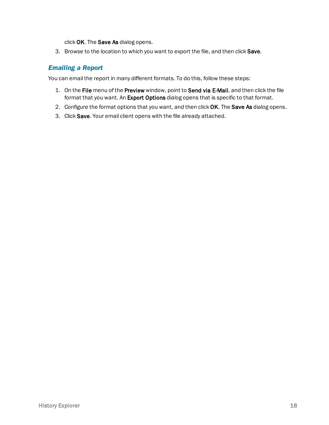click OK. The Save As dialog opens.

3. Browse to the location to which you want to export the file, and then click Save.

#### <span id="page-17-0"></span>*Emailing a Report*

You can email the report in many different formats. To do this, follow these steps:

- 1. On the File menu of the Preview window, point to Send via E-Mail, and then click the file format that you want. An Export Options dialog opens that is specific to that format.
- 2. Configure the format options that you want, and then click OK. The Save As dialog opens.
- 3. Click Save. Your email client opens with the file already attached.